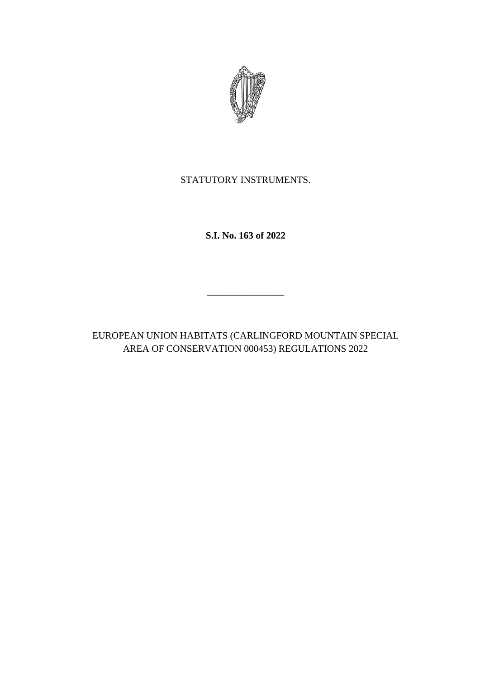

STATUTORY INSTRUMENTS.

**S.I. No. 163 of 2022**

EUROPEAN UNION HABITATS (CARLINGFORD MOUNTAIN SPECIAL AREA OF CONSERVATION 000453) REGULATIONS 2022

\_\_\_\_\_\_\_\_\_\_\_\_\_\_\_\_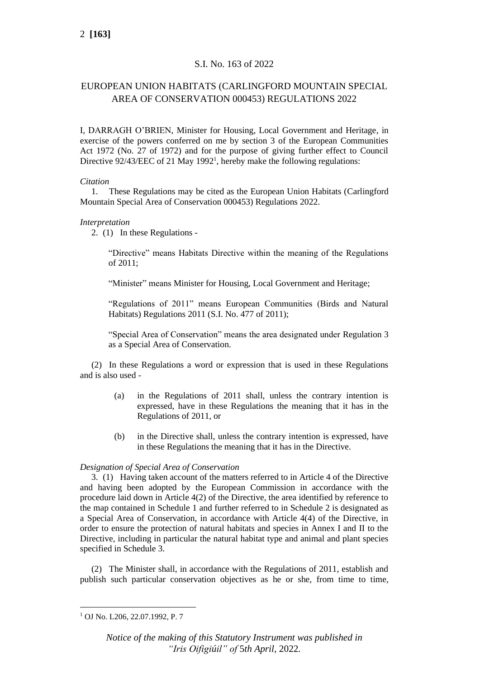# S.I. No. 163 of 2022

# EUROPEAN UNION HABITATS (CARLINGFORD MOUNTAIN SPECIAL AREA OF CONSERVATION 000453) REGULATIONS 2022

I, DARRAGH O'BRIEN, Minister for Housing, Local Government and Heritage, in exercise of the powers conferred on me by section 3 of the European Communities Act 1972 (No. 27 of 1972) and for the purpose of giving further effect to Council Directive 92/43/EEC of 21 May 1992<sup>1</sup>, hereby make the following regulations:

### *Citation*

1. These Regulations may be cited as the European Union Habitats (Carlingford Mountain Special Area of Conservation 000453) Regulations 2022.

## *Interpretation*

2. (1) In these Regulations -

"Directive" means Habitats Directive within the meaning of the Regulations of 2011;

"Minister" means Minister for Housing, Local Government and Heritage;

"Regulations of 2011" means European Communities (Birds and Natural Habitats) Regulations 2011 (S.I. No. 477 of 2011);

"Special Area of Conservation" means the area designated under Regulation 3 as a Special Area of Conservation.

(2) In these Regulations a word or expression that is used in these Regulations and is also used -

- (a) in the Regulations of 2011 shall, unless the contrary intention is expressed, have in these Regulations the meaning that it has in the Regulations of 2011, or
- (b) in the Directive shall, unless the contrary intention is expressed, have in these Regulations the meaning that it has in the Directive.

### *Designation of Special Area of Conservation*

3. (1) Having taken account of the matters referred to in Article 4 of the Directive and having been adopted by the European Commission in accordance with the procedure laid down in Article 4(2) of the Directive, the area identified by reference to the map contained in Schedule 1 and further referred to in Schedule 2 is designated as a Special Area of Conservation, in accordance with Article 4(4) of the Directive, in order to ensure the protection of natural habitats and species in Annex I and II to the Directive, including in particular the natural habitat type and animal and plant species specified in Schedule 3.

(2) The Minister shall, in accordance with the Regulations of 2011, establish and publish such particular conservation objectives as he or she, from time to time,

<sup>1</sup> OJ No. L206, 22.07.1992, P. 7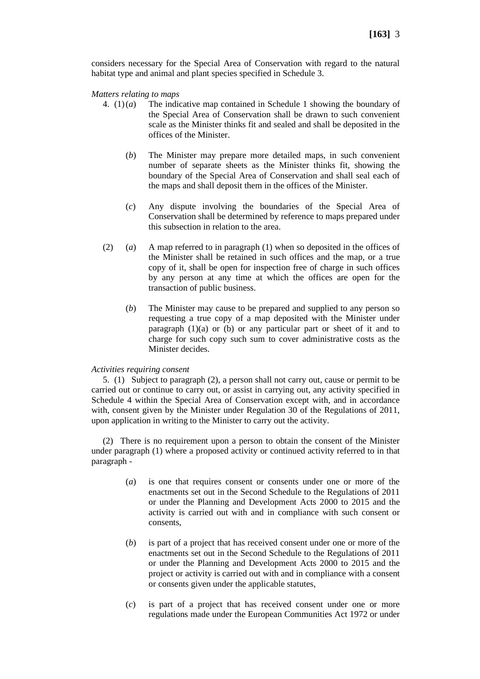considers necessary for the Special Area of Conservation with regard to the natural habitat type and animal and plant species specified in Schedule 3.

*Matters relating to maps*

- 4. (1)(*a*) The indicative map contained in Schedule 1 showing the boundary of the Special Area of Conservation shall be drawn to such convenient scale as the Minister thinks fit and sealed and shall be deposited in the offices of the Minister.
	- (*b*) The Minister may prepare more detailed maps, in such convenient number of separate sheets as the Minister thinks fit, showing the boundary of the Special Area of Conservation and shall seal each of the maps and shall deposit them in the offices of the Minister.
	- (*c*) Any dispute involving the boundaries of the Special Area of Conservation shall be determined by reference to maps prepared under this subsection in relation to the area.
- (2) (*a*) A map referred to in paragraph (1) when so deposited in the offices of the Minister shall be retained in such offices and the map, or a true copy of it, shall be open for inspection free of charge in such offices by any person at any time at which the offices are open for the transaction of public business.
	- (*b*) The Minister may cause to be prepared and supplied to any person so requesting a true copy of a map deposited with the Minister under paragraph  $(1)(a)$  or (b) or any particular part or sheet of it and to charge for such copy such sum to cover administrative costs as the Minister decides.

### *Activities requiring consent*

5. (1) Subject to paragraph (2), a person shall not carry out, cause or permit to be carried out or continue to carry out, or assist in carrying out, any activity specified in Schedule 4 within the Special Area of Conservation except with, and in accordance with, consent given by the Minister under Regulation 30 of the Regulations of 2011, upon application in writing to the Minister to carry out the activity.

(2) There is no requirement upon a person to obtain the consent of the Minister under paragraph (1) where a proposed activity or continued activity referred to in that paragraph -

- (*a*) is one that requires consent or consents under one or more of the enactments set out in the Second Schedule to the Regulations of 2011 or under the Planning and Development Acts 2000 to 2015 and the activity is carried out with and in compliance with such consent or consents,
- (*b*) is part of a project that has received consent under one or more of the enactments set out in the Second Schedule to the Regulations of 2011 or under the Planning and Development Acts 2000 to 2015 and the project or activity is carried out with and in compliance with a consent or consents given under the applicable statutes,
- (*c*) is part of a project that has received consent under one or more regulations made under the European Communities Act 1972 or under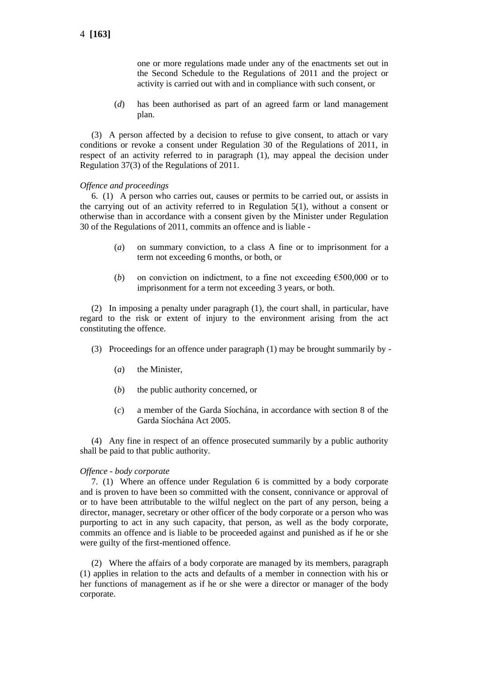one or more regulations made under any of the enactments set out in the Second Schedule to the Regulations of 2011 and the project or activity is carried out with and in compliance with such consent, or

(*d*) has been authorised as part of an agreed farm or land management plan.

(3) A person affected by a decision to refuse to give consent, to attach or vary conditions or revoke a consent under Regulation 30 of the Regulations of 2011, in respect of an activity referred to in paragraph (1), may appeal the decision under Regulation 37(3) of the Regulations of 2011.

### *Offence and proceedings*

6. (1) A person who carries out, causes or permits to be carried out, or assists in the carrying out of an activity referred to in Regulation 5(1), without a consent or otherwise than in accordance with a consent given by the Minister under Regulation 30 of the Regulations of 2011, commits an offence and is liable -

- (*a*) on summary conviction, to a class A fine or to imprisonment for a term not exceeding 6 months, or both, or
- (*b*) on conviction on indictment, to a fine not exceeding  $\epsilon$ 500,000 or to imprisonment for a term not exceeding 3 years, or both.

(2) In imposing a penalty under paragraph (1), the court shall, in particular, have regard to the risk or extent of injury to the environment arising from the act constituting the offence.

- (3) Proceedings for an offence under paragraph (1) may be brought summarily by
	- (*a*) the Minister,
	- (*b*) the public authority concerned, or
	- (*c*) a member of the Garda Síochána, in accordance with section 8 of the Garda Síochána Act 2005.

(4) Any fine in respect of an offence prosecuted summarily by a public authority shall be paid to that public authority.

### *Offence - body corporate*

7. (1) Where an offence under Regulation 6 is committed by a body corporate and is proven to have been so committed with the consent, connivance or approval of or to have been attributable to the wilful neglect on the part of any person, being a director, manager, secretary or other officer of the body corporate or a person who was purporting to act in any such capacity, that person, as well as the body corporate, commits an offence and is liable to be proceeded against and punished as if he or she were guilty of the first-mentioned offence.

(2) Where the affairs of a body corporate are managed by its members, paragraph (1) applies in relation to the acts and defaults of a member in connection with his or her functions of management as if he or she were a director or manager of the body corporate.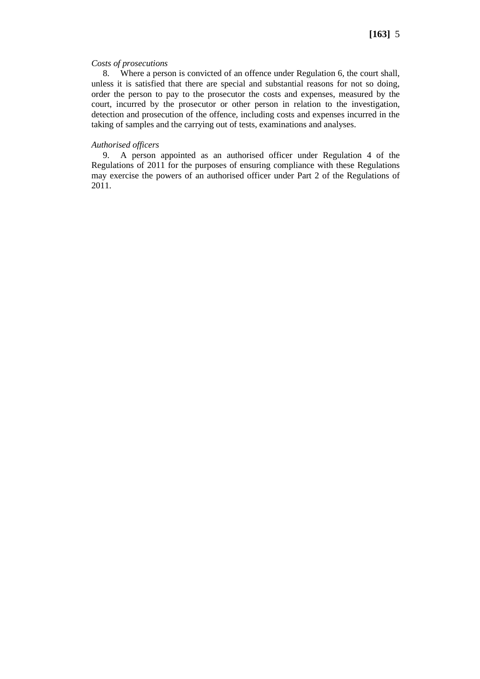### *Costs of prosecutions*

8. Where a person is convicted of an offence under Regulation 6, the court shall, unless it is satisfied that there are special and substantial reasons for not so doing, order the person to pay to the prosecutor the costs and expenses, measured by the court, incurred by the prosecutor or other person in relation to the investigation, detection and prosecution of the offence, including costs and expenses incurred in the taking of samples and the carrying out of tests, examinations and analyses.

### *Authorised officers*

9. A person appointed as an authorised officer under Regulation 4 of the Regulations of 2011 for the purposes of ensuring compliance with these Regulations may exercise the powers of an authorised officer under Part 2 of the Regulations of 2011.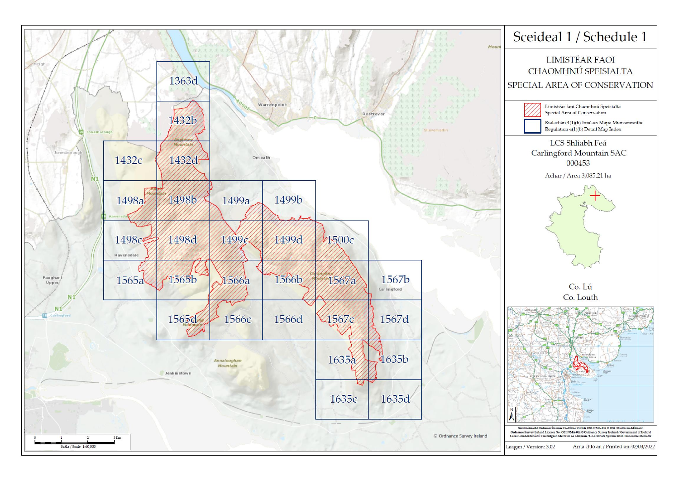

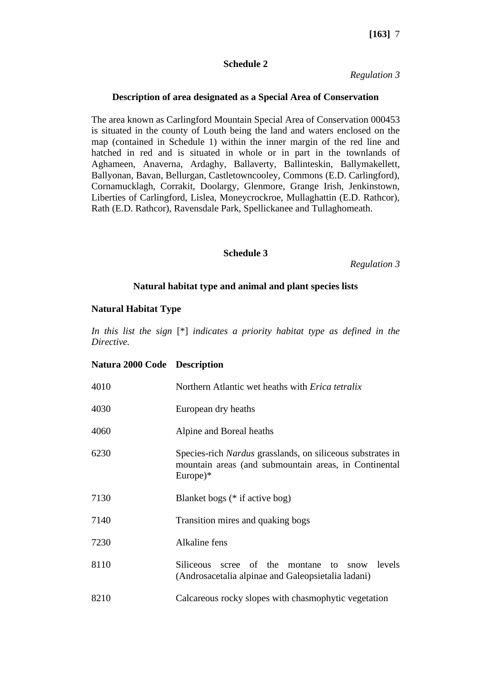# **Schedule 2**

*Regulation 3*

## **Description of area designated as a Special Area of Conservation**

The area known as Carlingford Mountain Special Area of Conservation 000453 is situated in the county of Louth being the land and waters enclosed on the map (contained in Schedule 1) within the inner margin of the red line and hatched in red and is situated in whole or in part in the townlands of Aghameen, Anaverna, Ardaghy, Ballaverty, Ballinteskin, Ballymakellett, Ballyonan, Bavan, Bellurgan, Castletowncooley, Commons (E.D. Carlingford), Cornamucklagh, Corrakit, Doolargy, Glenmore, Grange Irish, Jenkinstown, Liberties of Carlingford, Lislea, Moneycrockroe, Mullaghattin (E.D. Rathcor), Rath (E.D. Rathcor), Ravensdale Park, Spellickanee and Tullaghomeath.

## **Schedule 3**

*Regulation 3*

## **Natural habitat type and animal and plant species lists**

## **Natural Habitat Type**

*In this list the sign* [\*] *indicates a priority habitat type as defined in the Directive.*

### **Natura 2000 Code Description**

| 4010 | Northern Atlantic wet heaths with <i>Erica tetralix</i>                                                                                  |
|------|------------------------------------------------------------------------------------------------------------------------------------------|
| 4030 | European dry heaths                                                                                                                      |
| 4060 | Alpine and Boreal heaths                                                                                                                 |
| 6230 | Species-rich <i>Nardus</i> grasslands, on siliceous substrates in<br>mountain areas (and submountain areas, in Continental<br>$Europe)*$ |
| 7130 | Blanket bogs (* if active bog)                                                                                                           |
| 7140 | Transition mires and quaking bogs                                                                                                        |
| 7230 | Alkaline fens                                                                                                                            |
| 8110 | scree of the montane to<br>levels<br><b>Siliceous</b><br>snow<br>(Androsacetalia alpinae and Galeopsietalia ladani)                      |
| 8210 | Calcareous rocky slopes with chasmophytic vegetation                                                                                     |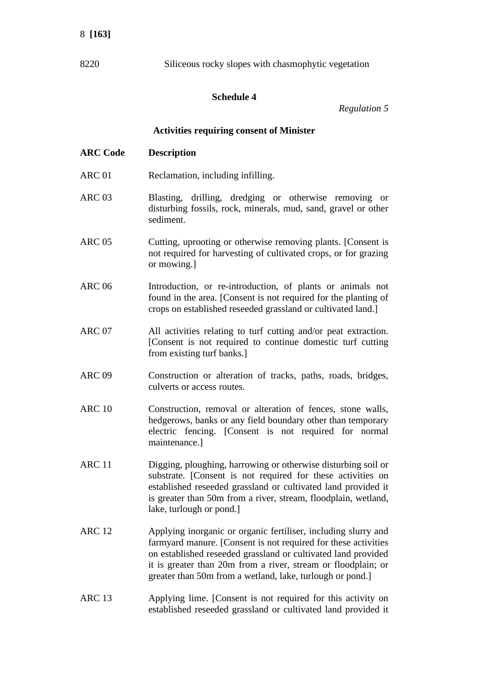# 8 **[163]**

8220 Siliceous rocky slopes with chasmophytic vegetation

# **Schedule 4**

*Regulation 5*

## **Activities requiring consent of Minister**

- **ARC Code Description**
- ARC 01 Reclamation, including infilling.
- ARC 03 Blasting, drilling, dredging or otherwise removing or disturbing fossils, rock, minerals, mud, sand, gravel or other sediment.
- ARC 05 Cutting, uprooting or otherwise removing plants. [Consent is not required for harvesting of cultivated crops, or for grazing or mowing.]
- ARC 06 Introduction, or re-introduction, of plants or animals not found in the area. [Consent is not required for the planting of crops on established reseeded grassland or cultivated land.]
- ARC 07 All activities relating to turf cutting and/or peat extraction. [Consent is not required to continue domestic turf cutting from existing turf banks.]
- ARC 09 Construction or alteration of tracks, paths, roads, bridges, culverts or access routes.
- ARC 10 Construction, removal or alteration of fences, stone walls, hedgerows, banks or any field boundary other than temporary electric fencing. [Consent is not required for normal maintenance.]
- ARC 11 Digging, ploughing, harrowing or otherwise disturbing soil or substrate. [Consent is not required for these activities on established reseeded grassland or cultivated land provided it is greater than 50m from a river, stream, floodplain, wetland, lake, turlough or pond.]
- ARC 12 Applying inorganic or organic fertiliser, including slurry and farmyard manure. [Consent is not required for these activities on established reseeded grassland or cultivated land provided it is greater than 20m from a river, stream or floodplain; or greater than 50m from a wetland, lake, turlough or pond.]
- ARC 13 Applying lime. [Consent is not required for this activity on established reseeded grassland or cultivated land provided it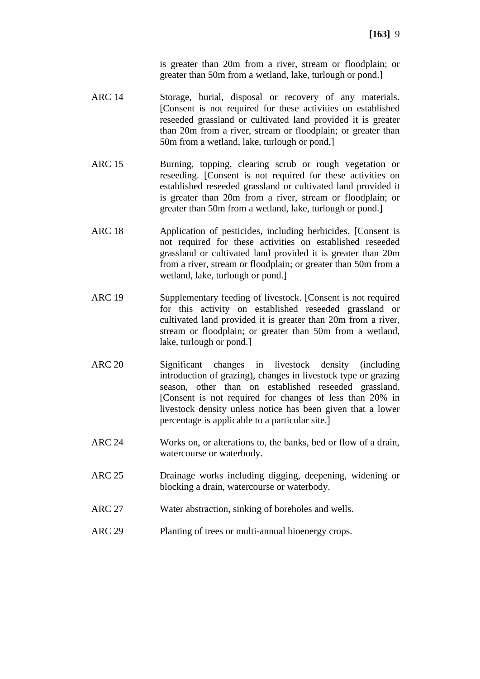is greater than 20m from a river, stream or floodplain; or greater than 50m from a wetland, lake, turlough or pond.]

- ARC 14 Storage, burial, disposal or recovery of any materials. [Consent is not required for these activities on established reseeded grassland or cultivated land provided it is greater than 20m from a river, stream or floodplain; or greater than 50m from a wetland, lake, turlough or pond.]
- ARC 15 Burning, topping, clearing scrub or rough vegetation or reseeding. [Consent is not required for these activities on established reseeded grassland or cultivated land provided it is greater than 20m from a river, stream or floodplain; or greater than 50m from a wetland, lake, turlough or pond.]
- ARC 18 Application of pesticides, including herbicides. [Consent is not required for these activities on established reseeded grassland or cultivated land provided it is greater than 20m from a river, stream or floodplain; or greater than 50m from a wetland, lake, turlough or pond.]
- ARC 19 Supplementary feeding of livestock. [Consent is not required for this activity on established reseeded grassland or cultivated land provided it is greater than 20m from a river, stream or floodplain; or greater than 50m from a wetland, lake, turlough or pond.]
- ARC 20 Significant changes in livestock density (including introduction of grazing), changes in livestock type or grazing season, other than on established reseeded grassland. [Consent is not required for changes of less than 20% in livestock density unless notice has been given that a lower percentage is applicable to a particular site.]
- ARC 24 Works on, or alterations to, the banks, bed or flow of a drain, watercourse or waterbody.
- ARC 25 Drainage works including digging, deepening, widening or blocking a drain, watercourse or waterbody.
- ARC 27 Water abstraction, sinking of boreholes and wells.
- ARC 29 Planting of trees or multi-annual bioenergy crops.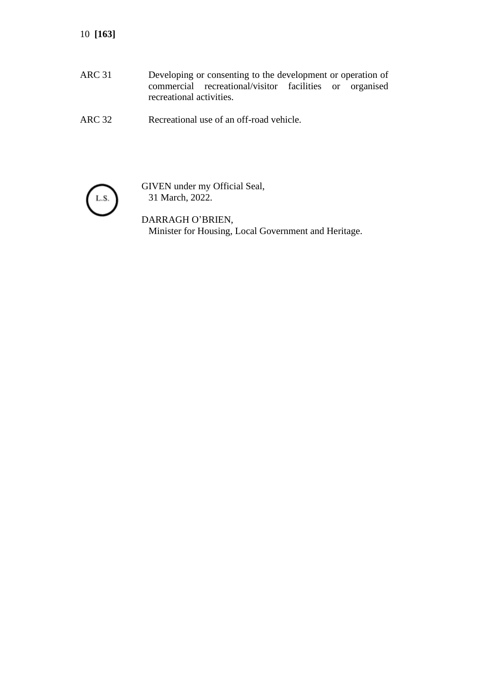10 **[163]**

- ARC 31 Developing or consenting to the development or operation of commercial recreational/visitor facilities or organised recreational activities.
- ARC 32 Recreational use of an off-road vehicle.



GIVEN under my Official Seal, 31 March, 2022.

DARRAGH O'BRIEN, Minister for Housing, Local Government and Heritage.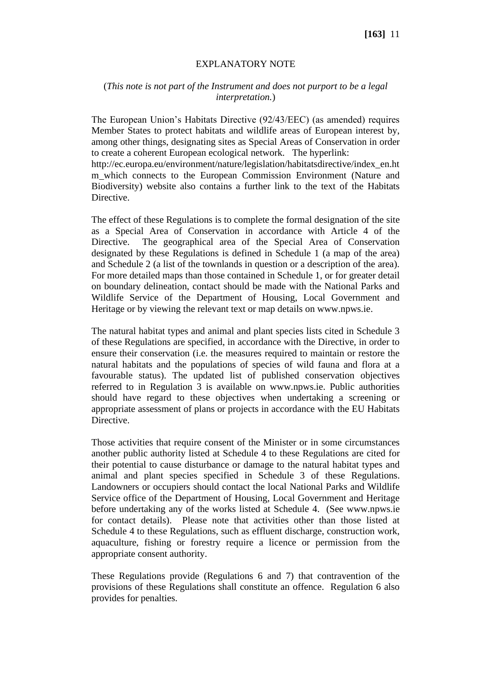## EXPLANATORY NOTE

## (*This note is not part of the Instrument and does not purport to be a legal interpretation.*)

The European Union's Habitats Directive (92/43/EEC) (as amended) requires Member States to protect habitats and wildlife areas of European interest by, among other things, designating sites as Special Areas of Conservation in order to create a coherent European ecological network. The hyperlink:

http://ec.europa.eu/environment/nature/legislation/habitatsdirective/index\_en.ht m which connects to the European Commission Environment (Nature and Biodiversity) website also contains a further link to the text of the Habitats Directive.

The effect of these Regulations is to complete the formal designation of the site as a Special Area of Conservation in accordance with Article 4 of the Directive. The geographical area of the Special Area of Conservation designated by these Regulations is defined in Schedule 1 (a map of the area) and Schedule 2 (a list of the townlands in question or a description of the area). For more detailed maps than those contained in Schedule 1, or for greater detail on boundary delineation, contact should be made with the National Parks and Wildlife Service of the Department of Housing, Local Government and Heritage or by viewing the relevant text or map details on www.npws.ie.

The natural habitat types and animal and plant species lists cited in Schedule 3 of these Regulations are specified, in accordance with the Directive, in order to ensure their conservation (i.e. the measures required to maintain or restore the natural habitats and the populations of species of wild fauna and flora at a favourable status). The updated list of published conservation objectives referred to in Regulation 3 is available on www.npws.ie. Public authorities should have regard to these objectives when undertaking a screening or appropriate assessment of plans or projects in accordance with the EU Habitats Directive.

Those activities that require consent of the Minister or in some circumstances another public authority listed at Schedule 4 to these Regulations are cited for their potential to cause disturbance or damage to the natural habitat types and animal and plant species specified in Schedule 3 of these Regulations. Landowners or occupiers should contact the local National Parks and Wildlife Service office of the Department of Housing, Local Government and Heritage before undertaking any of the works listed at Schedule 4. (See www.npws.ie for contact details). Please note that activities other than those listed at Schedule 4 to these Regulations, such as effluent discharge, construction work, aquaculture, fishing or forestry require a licence or permission from the appropriate consent authority.

These Regulations provide (Regulations 6 and 7) that contravention of the provisions of these Regulations shall constitute an offence. Regulation 6 also provides for penalties.